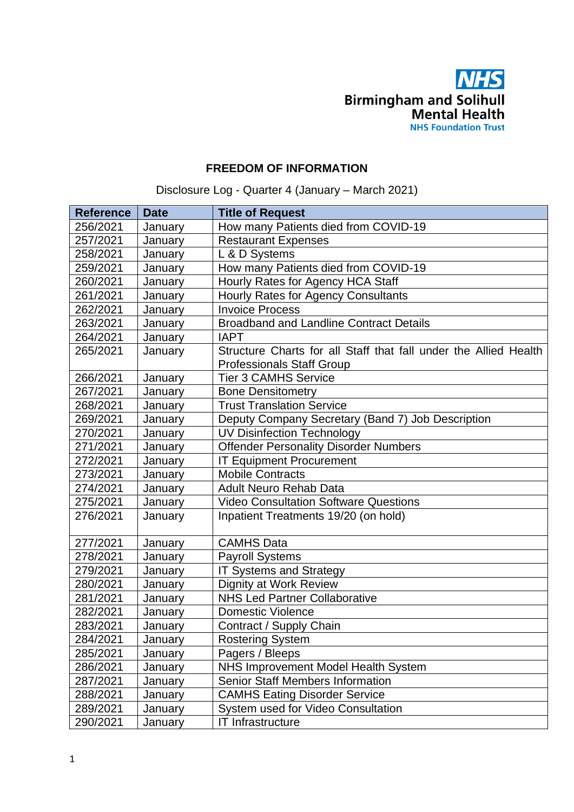

## **FREEDOM OF INFORMATION**

Disclosure Log - Quarter 4 (January – March 2021)

| <b>Reference</b> | <b>Date</b> | <b>Title of Request</b>                                          |
|------------------|-------------|------------------------------------------------------------------|
| 256/2021         | January     | How many Patients died from COVID-19                             |
| 257/2021         | January     | <b>Restaurant Expenses</b>                                       |
| 258/2021         | January     | L & D Systems                                                    |
| 259/2021         | January     | How many Patients died from COVID-19                             |
| 260/2021         | January     | Hourly Rates for Agency HCA Staff                                |
| 261/2021         | January     | Hourly Rates for Agency Consultants                              |
| 262/2021         | January     | <b>Invoice Process</b>                                           |
| 263/2021         | January     | <b>Broadband and Landline Contract Details</b>                   |
| 264/2021         | January     | <b>IAPT</b>                                                      |
| 265/2021         | January     | Structure Charts for all Staff that fall under the Allied Health |
|                  |             | <b>Professionals Staff Group</b>                                 |
| 266/2021         | January     | <b>Tier 3 CAMHS Service</b>                                      |
| 267/2021         | January     | <b>Bone Densitometry</b>                                         |
| 268/2021         | January     | <b>Trust Translation Service</b>                                 |
| 269/2021         | January     | Deputy Company Secretary (Band 7) Job Description                |
| 270/2021         | January     | <b>UV Disinfection Technology</b>                                |
| 271/2021         | January     | <b>Offender Personality Disorder Numbers</b>                     |
| 272/2021         | January     | <b>IT Equipment Procurement</b>                                  |
| 273/2021         | January     | <b>Mobile Contracts</b>                                          |
| 274/2021         | January     | <b>Adult Neuro Rehab Data</b>                                    |
| 275/2021         | January     | <b>Video Consultation Software Questions</b>                     |
| 276/2021         | January     | Inpatient Treatments 19/20 (on hold)                             |
| 277/2021         | January     | <b>CAMHS Data</b>                                                |
| 278/2021         | January     | <b>Payroll Systems</b>                                           |
| 279/2021         | January     | IT Systems and Strategy                                          |
| 280/2021         | January     | Dignity at Work Review                                           |
| 281/2021         | January     | <b>NHS Led Partner Collaborative</b>                             |
| 282/2021         | January     | <b>Domestic Violence</b>                                         |
| 283/2021         | January     | Contract / Supply Chain                                          |
| 284/2021         | January     | <b>Rostering System</b>                                          |
| 285/2021         | January     | Pagers / Bleeps                                                  |
| 286/2021         | January     | <b>NHS Improvement Model Health System</b>                       |
| 287/2021         | January     | <b>Senior Staff Members Information</b>                          |
| 288/2021         | January     | <b>CAMHS Eating Disorder Service</b>                             |
| 289/2021         | January     | System used for Video Consultation                               |
| 290/2021         | January     | <b>IT Infrastructure</b>                                         |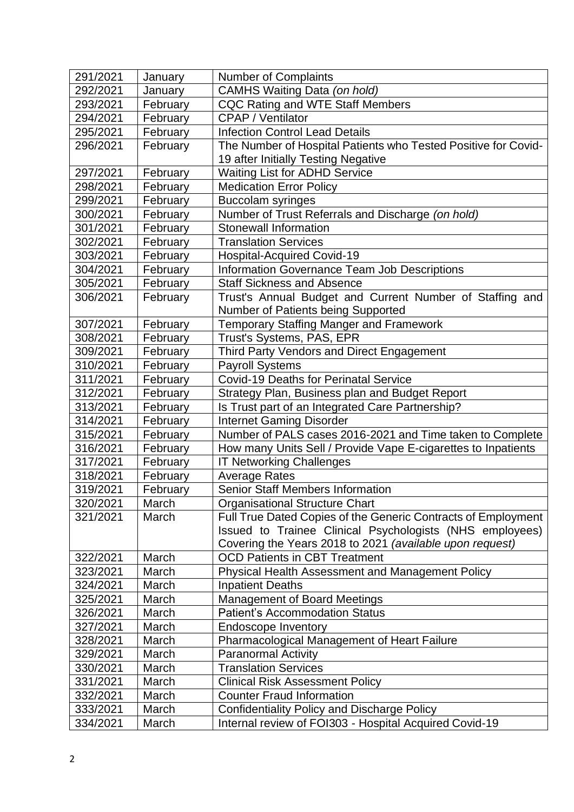| 291/2021 | January  | <b>Number of Complaints</b>                                    |
|----------|----------|----------------------------------------------------------------|
| 292/2021 | January  | CAMHS Waiting Data (on hold)                                   |
| 293/2021 | February | <b>CQC Rating and WTE Staff Members</b>                        |
| 294/2021 | February | <b>CPAP / Ventilator</b>                                       |
| 295/2021 | February | <b>Infection Control Lead Details</b>                          |
| 296/2021 | February | The Number of Hospital Patients who Tested Positive for Covid- |
|          |          | 19 after Initially Testing Negative                            |
| 297/2021 | February | <b>Waiting List for ADHD Service</b>                           |
| 298/2021 | February | <b>Medication Error Policy</b>                                 |
| 299/2021 | February | <b>Buccolam syringes</b>                                       |
| 300/2021 | February | Number of Trust Referrals and Discharge (on hold)              |
| 301/2021 | February | <b>Stonewall Information</b>                                   |
| 302/2021 | February | <b>Translation Services</b>                                    |
| 303/2021 | February | <b>Hospital-Acquired Covid-19</b>                              |
| 304/2021 | February | <b>Information Governance Team Job Descriptions</b>            |
| 305/2021 | February | <b>Staff Sickness and Absence</b>                              |
| 306/2021 | February | Trust's Annual Budget and Current Number of Staffing and       |
|          |          | Number of Patients being Supported                             |
| 307/2021 | February | <b>Temporary Staffing Manger and Framework</b>                 |
| 308/2021 | February | Trust's Systems, PAS, EPR                                      |
| 309/2021 | February | Third Party Vendors and Direct Engagement                      |
| 310/2021 | February | <b>Payroll Systems</b>                                         |
| 311/2021 | February | <b>Covid-19 Deaths for Perinatal Service</b>                   |
| 312/2021 | February | Strategy Plan, Business plan and Budget Report                 |
| 313/2021 | February | Is Trust part of an Integrated Care Partnership?               |
| 314/2021 | February | <b>Internet Gaming Disorder</b>                                |
| 315/2021 | February | Number of PALS cases 2016-2021 and Time taken to Complete      |
| 316/2021 | February | How many Units Sell / Provide Vape E-cigarettes to Inpatients  |
| 317/2021 | February | <b>IT Networking Challenges</b>                                |
| 318/2021 | February | <b>Average Rates</b>                                           |
| 319/2021 | February | <b>Senior Staff Members Information</b>                        |
| 320/2021 | March    | <b>Organisational Structure Chart</b>                          |
| 321/2021 | March    | Full True Dated Copies of the Generic Contracts of Employment  |
|          |          | Issued to Trainee Clinical Psychologists (NHS employees)       |
|          |          | Covering the Years 2018 to 2021 (available upon request)       |
| 322/2021 | March    | <b>OCD Patients in CBT Treatment</b>                           |
| 323/2021 | March    | <b>Physical Health Assessment and Management Policy</b>        |
| 324/2021 | March    | <b>Inpatient Deaths</b>                                        |
| 325/2021 | March    | <b>Management of Board Meetings</b>                            |
| 326/2021 | March    | <b>Patient's Accommodation Status</b>                          |
| 327/2021 | March    | <b>Endoscope Inventory</b>                                     |
| 328/2021 | March    | Pharmacological Management of Heart Failure                    |
| 329/2021 | March    | <b>Paranormal Activity</b>                                     |
| 330/2021 | March    | <b>Translation Services</b>                                    |
| 331/2021 | March    | <b>Clinical Risk Assessment Policy</b>                         |
| 332/2021 | March    | <b>Counter Fraud Information</b>                               |
| 333/2021 | March    | <b>Confidentiality Policy and Discharge Policy</b>             |
| 334/2021 | March    | Internal review of FOI303 - Hospital Acquired Covid-19         |